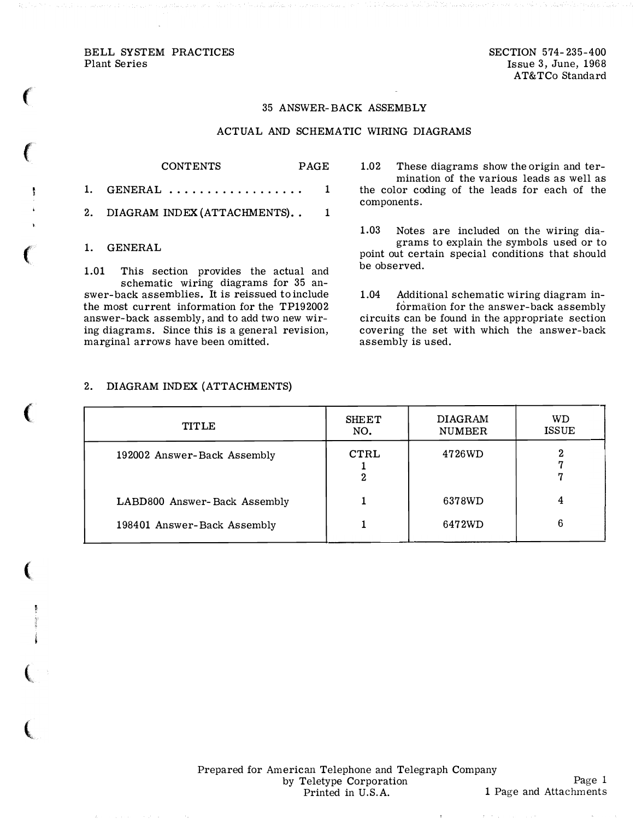BELL SYSTEM PRACTICES Plant Series

**Contract Contract Contract Contract Contract Contract Contract Contract Contract Contract Contract Contract Contract Contract Contract Contract Contract Contract Contract Contract Contract Contract Contract Contract Contr** 

ţ

contract the contract of the con-

SECTION 574-235-400 Issue 3, June, 1968 AT&TCo Standard

#### 35 ANSWER-BACK ASSEMBLY

### ACTUAL AND SCHEMATIC WIRING DIAGRAMS

# CONTENTS PAGE 1. GENERAL ................... 1 2. DIAGRAM INDEX (ATTACHMENTS).. 1 1. GENERAL

1.01 This section provides the actual and schematic wiring diagrams for 35 answer-back assemblies. It is reissued to include the most current information for the TP192002 answer-back assembly, and to add two new wiring diagrams. Since this is a general revision, marginal arrows have been omitted.

1.02 These diagrams show the origin and termination of the various leads as well as the color coding of the leads for each of the components.

1.03 Notes are included on the wiring diagrams to explain the symbols used or to point out certain special conditions that should be observed.

1.04 Additional schematic wiring diagram information for the answer-back assembly circuits can be found in the appropriate section covering the set with which the answer-back assembly is used.

### 2. DIAGRAM INDEX (ATTACHMENTS)

| <b>TITLE</b>                 | <b>SHEET</b><br>NO. | <b>DIAGRAM</b><br><b>NUMBER</b> | WD<br><b>ISSUE</b> |
|------------------------------|---------------------|---------------------------------|--------------------|
| 192002 Answer-Back Assembly  | CTRL<br>2           | 4726WD                          | 7                  |
| LABD800 Answer-Back Assembly |                     | 6378WD                          | 4                  |
| 198401 Answer-Back Assembly  |                     | 6472WD                          | 6                  |

Prepared for American Telephone and Telegraph Company by Teletype Corporation Printed in U.S.A.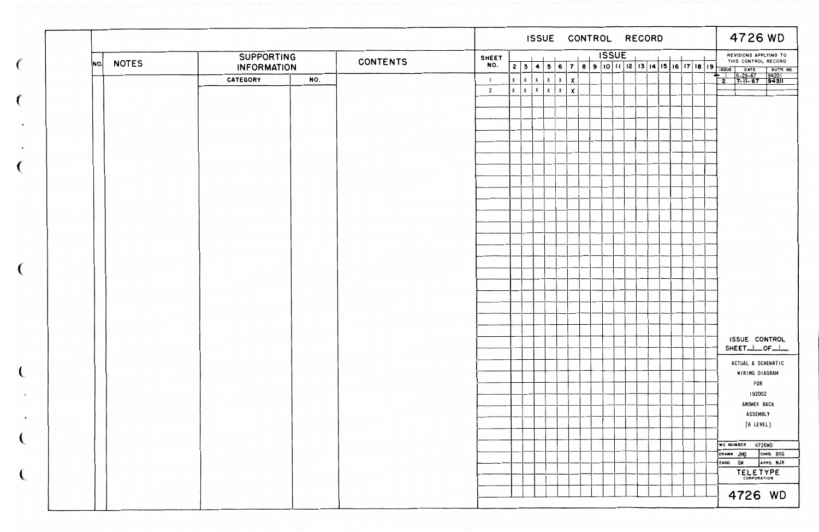|                     |                        |                 |                |              |              |                              |              |                           |  | ISSUE CONTROL RECORD |                                                                   |  |  |  |  |  |  |                                              |  | 4726 WD                                                 |                               |
|---------------------|------------------------|-----------------|----------------|--------------|--------------|------------------------------|--------------|---------------------------|--|----------------------|-------------------------------------------------------------------|--|--|--|--|--|--|----------------------------------------------|--|---------------------------------------------------------|-------------------------------|
|                     | <b>SUPPORTING</b>      | <b>CONTENTS</b> | <b>SHEET</b>   |              |              |                              |              |                           |  |                      | <b>ISSUE</b><br>3 4 5 6 7 8 9 10 11 12 13 14 15 16 17 18 19 18 19 |  |  |  |  |  |  | REVISIONS APPLYING TO<br>THIS CONTROL RECORD |  |                                                         |                               |
| <b>NOTES</b><br>NO. | <b>INFORMATION</b>     |                 | NO.            | 2            |              |                              |              |                           |  |                      |                                                                   |  |  |  |  |  |  |                                              |  | DATE                                                    | $\uparrow$ AUTH. NO.          |
|                     | NO.<br><b>CATEGORY</b> |                 |                | $\mathsf{X}$ | $\chi$       | $\mathsf{X}$<br>$\mathsf{X}$ | $\mathsf{X}$ | $\boldsymbol{\mathsf{x}}$ |  |                      |                                                                   |  |  |  |  |  |  |                                              |  | $\frac{6-29-67}{7-11-67}$ 94201<br>╺╺<br>$\overline{2}$ |                               |
|                     |                        |                 | $\overline{2}$ | $\mathbf{x}$ | $\mathsf{x}$ | $\mathsf{X}$<br>x            | $\mathsf{X}$ | $\pmb{\times}$            |  |                      |                                                                   |  |  |  |  |  |  |                                              |  |                                                         |                               |
|                     |                        |                 |                |              |              |                              |              |                           |  |                      |                                                                   |  |  |  |  |  |  |                                              |  |                                                         |                               |
|                     |                        |                 |                |              |              |                              |              |                           |  |                      |                                                                   |  |  |  |  |  |  |                                              |  |                                                         |                               |
|                     |                        |                 |                |              |              |                              |              |                           |  |                      |                                                                   |  |  |  |  |  |  |                                              |  |                                                         |                               |
|                     |                        |                 |                |              |              |                              |              |                           |  |                      |                                                                   |  |  |  |  |  |  |                                              |  |                                                         |                               |
|                     |                        |                 |                |              |              |                              |              |                           |  |                      |                                                                   |  |  |  |  |  |  |                                              |  |                                                         |                               |
|                     |                        |                 |                |              |              |                              |              |                           |  |                      |                                                                   |  |  |  |  |  |  |                                              |  |                                                         |                               |
|                     |                        |                 |                |              |              |                              |              |                           |  |                      |                                                                   |  |  |  |  |  |  |                                              |  |                                                         |                               |
|                     |                        |                 |                |              |              |                              |              |                           |  |                      |                                                                   |  |  |  |  |  |  |                                              |  |                                                         |                               |
|                     |                        |                 |                |              |              |                              |              |                           |  |                      |                                                                   |  |  |  |  |  |  |                                              |  |                                                         |                               |
|                     |                        |                 |                |              |              |                              |              |                           |  |                      |                                                                   |  |  |  |  |  |  |                                              |  |                                                         |                               |
|                     |                        |                 |                |              |              |                              |              |                           |  |                      |                                                                   |  |  |  |  |  |  |                                              |  |                                                         |                               |
|                     |                        |                 |                |              |              |                              |              |                           |  |                      |                                                                   |  |  |  |  |  |  |                                              |  |                                                         |                               |
|                     |                        |                 |                |              |              |                              |              |                           |  |                      |                                                                   |  |  |  |  |  |  |                                              |  |                                                         |                               |
|                     |                        |                 |                |              |              |                              |              |                           |  |                      |                                                                   |  |  |  |  |  |  |                                              |  |                                                         |                               |
|                     |                        |                 |                |              |              |                              |              |                           |  |                      |                                                                   |  |  |  |  |  |  |                                              |  |                                                         |                               |
|                     |                        |                 |                |              |              |                              |              |                           |  |                      |                                                                   |  |  |  |  |  |  |                                              |  |                                                         |                               |
|                     |                        |                 |                |              |              |                              |              |                           |  |                      |                                                                   |  |  |  |  |  |  |                                              |  |                                                         |                               |
|                     |                        |                 |                |              |              |                              |              |                           |  |                      |                                                                   |  |  |  |  |  |  |                                              |  |                                                         |                               |
|                     |                        |                 |                |              |              |                              |              |                           |  |                      |                                                                   |  |  |  |  |  |  |                                              |  |                                                         |                               |
|                     |                        |                 |                |              |              |                              |              |                           |  |                      |                                                                   |  |  |  |  |  |  |                                              |  |                                                         |                               |
|                     |                        |                 |                |              |              |                              |              |                           |  |                      |                                                                   |  |  |  |  |  |  |                                              |  |                                                         |                               |
|                     |                        |                 |                |              |              |                              |              |                           |  |                      |                                                                   |  |  |  |  |  |  |                                              |  | ISSUE CONTROL                                           |                               |
|                     |                        |                 |                |              |              |                              |              |                           |  |                      |                                                                   |  |  |  |  |  |  |                                              |  | SHEET_I_OF_I_                                           |                               |
|                     |                        |                 |                |              |              |                              |              |                           |  |                      |                                                                   |  |  |  |  |  |  |                                              |  | ACTUAL & SCHEMATIC                                      |                               |
|                     |                        |                 |                |              |              |                              |              |                           |  |                      |                                                                   |  |  |  |  |  |  |                                              |  | WIRING DIAGRAM                                          |                               |
|                     |                        |                 |                |              |              |                              |              |                           |  |                      |                                                                   |  |  |  |  |  |  |                                              |  | <b>FOR</b>                                              |                               |
|                     |                        |                 |                |              |              |                              |              |                           |  |                      |                                                                   |  |  |  |  |  |  |                                              |  | 192002                                                  |                               |
|                     |                        |                 |                |              |              |                              |              |                           |  |                      |                                                                   |  |  |  |  |  |  |                                              |  | ANSWER BACK                                             |                               |
|                     |                        |                 |                |              |              |                              |              |                           |  |                      |                                                                   |  |  |  |  |  |  |                                              |  | ASSEMBLY                                                |                               |
|                     |                        |                 |                |              |              |                              |              |                           |  |                      |                                                                   |  |  |  |  |  |  |                                              |  | (8 LEVEL)                                               |                               |
|                     |                        |                 |                |              |              |                              |              |                           |  |                      |                                                                   |  |  |  |  |  |  |                                              |  |                                                         |                               |
|                     |                        |                 |                |              |              |                              |              |                           |  |                      |                                                                   |  |  |  |  |  |  |                                              |  | WD NUMBER 4726WD                                        |                               |
|                     |                        |                 |                |              |              |                              |              |                           |  |                      |                                                                   |  |  |  |  |  |  |                                              |  | DRAWN JMO<br>ENGD. GW                                   | <b>СНКО. ВGG</b><br>APPD. NJK |
|                     |                        |                 |                |              |              |                              |              |                           |  |                      |                                                                   |  |  |  |  |  |  |                                              |  |                                                         |                               |
|                     |                        |                 |                |              |              |                              |              |                           |  |                      |                                                                   |  |  |  |  |  |  |                                              |  | TELETYPE                                                |                               |
|                     |                        |                 |                |              |              |                              |              |                           |  |                      |                                                                   |  |  |  |  |  |  |                                              |  | 4726 WD                                                 |                               |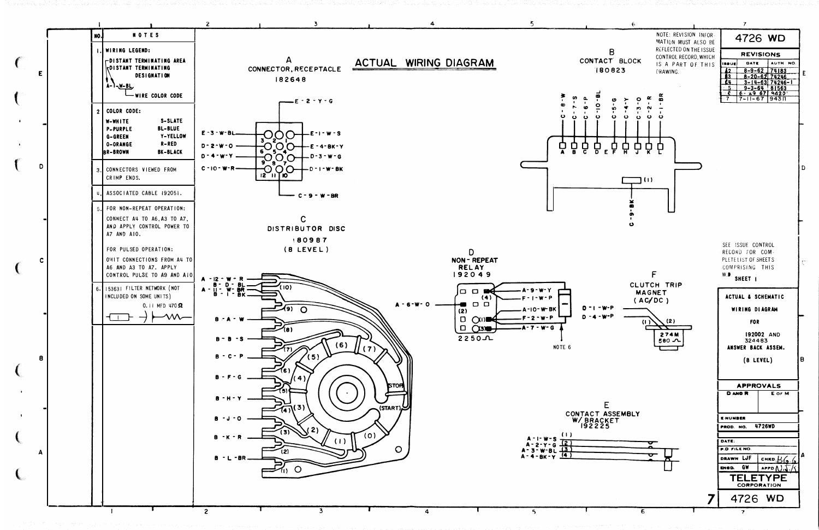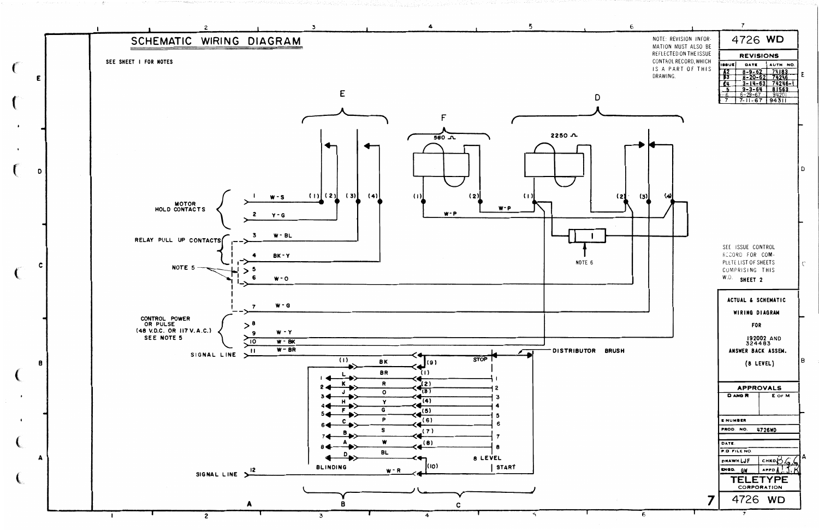

NOTE: REVISION INFOR-MATION MUST ALSO BE REFLECTED ON THE ISSUE CONTROL RECORD, WHICH IS A PART OF THIS





## ACTUAL & SCHEMATIC

WIRING DIAGRAM

FOR

192002 AND<br>324483 ANSWER BACK ASSEM.

 $(8$  LEVEL)

 $\overline{B}$ 

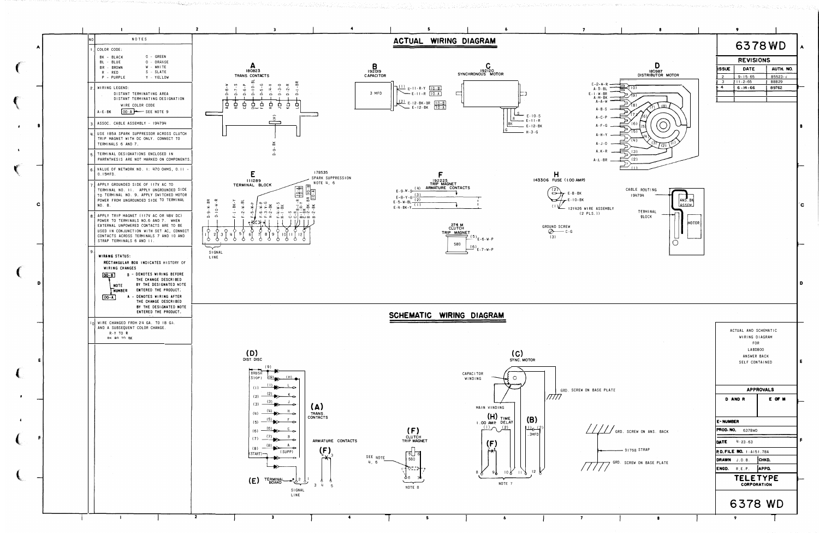